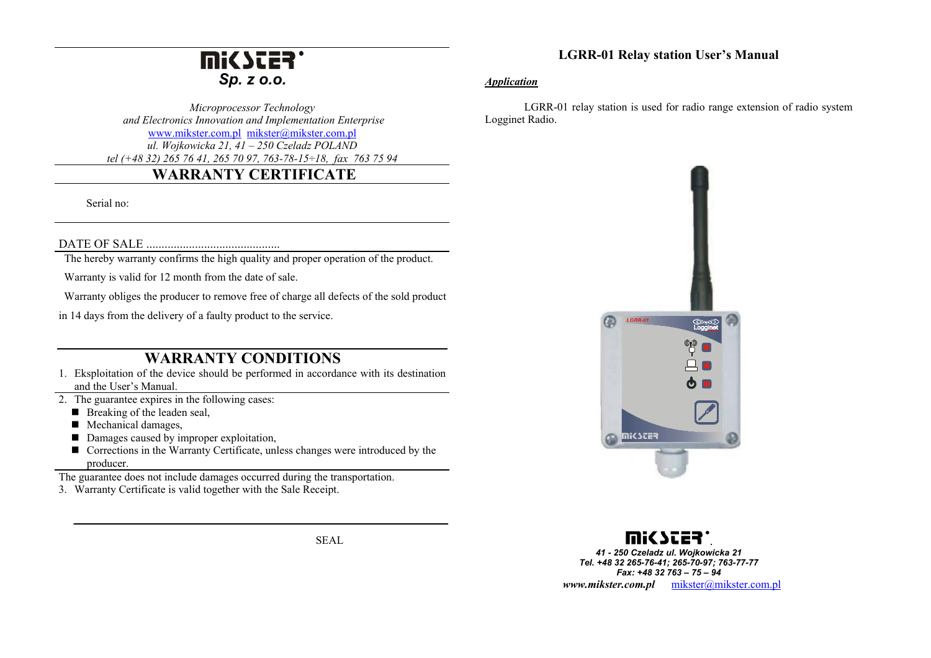# **Mi<SCER** *Sp. z o.o.*

*Microprocessor Technology and Electronics Innovation and Implementation Enterprise*  www.mikster.com.pl mikster@mikster.com.pl *ul. Wojkowicka 21, 41 – 250 Czeladz POLAND tel (+48 32) 265 76 41, 265 70 97, 763-78-15÷18, fax 763 75 94*

## **WARRANTY CERTIFICATE**

Serial no:

#### DATE OF SALE ............................................

The hereby warranty confirms the high quality and proper operation of the product.

Warranty is valid for 12 month from the date of sale.

Warranty obliges the producer to remove free of charge all defects of the sold product

in 14 days from the delivery of a faulty product to the service.

### **WARRANTY CONDITIONS**

- 1. Eksploitation of the device should be performed in accordance with its destination and the User's Manual.
- 2. The guarantee expires in the following cases:
	- $\blacksquare$  Breaking of the leaden seal,
	- Mechanical damages,
	- Damages caused by improper exploitation,
	- Corrections in the Warranty Certificate, unless changes were introduced by the producer.

The guarantee does not include damages occurred during the transportation.

3. Warranty Certificate is valid together with the Sale Receipt.

SEAL

### **LGRR-01 Relay station User's Manual**

#### *Application*

 LGRR-01 relay station is used for radio range extension of radio system Logginet Radio.





*41 - 250 Czeladz ul. Wojkowicka 21 Tel. +48 32 265-76-41; 265-70-97; 763-77-77 Fax: +48 32 763 – 75 – 94 www.mikster.com.pl* mikster@mikster.com.pl